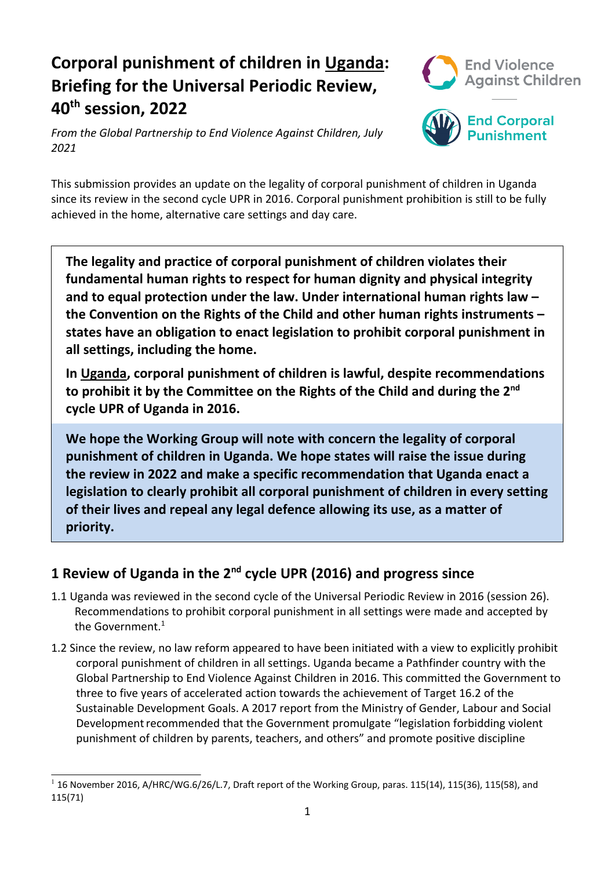# **Corporal punishment of children in Uganda: Briefing for the Universal Periodic Review, 40th session, 2022**



*From the Global Partnership to End Violence Against Children, July 2021*



This submission provides an update on the legality of corporal punishment of children in Uganda since its review in the second cycle UPR in 2016. Corporal punishment prohibition is still to be fully achieved in the home, alternative care settings and day care.

**The legality and practice of corporal punishment of children violates their fundamental human rights to respect for human dignity and physical integrity and to equal protection under the law. Under international human rights law – the Convention on the Rights of the Child and other human rights instruments – states have an obligation to enact legislation to prohibit corporal punishment in all settings, including the home.**

**In Uganda, corporal punishment of children is lawful, despite recommendations to prohibit it by the Committee on the Rights of the Child and during the <sup>2</sup>nd cycle UPR of Uganda in 2016.**

**We hope the Working Group will note with concern the legality of corporal punishment of children in Uganda. We hope states will raise the issue during the review in 2022 and make <sup>a</sup> specific recommendation that Uganda enact <sup>a</sup> legislation to clearly prohibit all corporal punishment of children in every setting of their lives and repeal any legal defence allowing its use, as <sup>a</sup> matter of priority.**

## **<sup>1</sup> Review of Uganda in the <sup>2</sup>nd cycle UPR (2016) and progress since**

- 1.1 Uganda was reviewed in the second cycle of the Universal Periodic Review in 2016 (session 26). Recommendations to prohibit corporal punishment in all settings were made and accepted by the Government. $^{\rm 1}$
- 1.2 Since the review, no law reform appeared to have been initiated with <sup>a</sup> view to explicitly prohibit corporal punishment of children in all settings. Uganda became <sup>a</sup> Pathfinder country with the Global Partnership to End Violence Against Children in 2016. This committed the Government to three to five years of accelerated action towards the achievement of Target 16.2 of the Sustainable Development Goals. A 2017 report from the Ministry of Gender, Labour and Social Development recommended that the Government promulgate "legislation forbidding violent punishment of children by parents, teachers, and others" and promote positive discipline

 $^{-1}$  16 November 2016, A/HRC/WG.6/26/L.7, Draft report of the Working Group, paras. 115(14), 115(36), 115(58), and 115(71)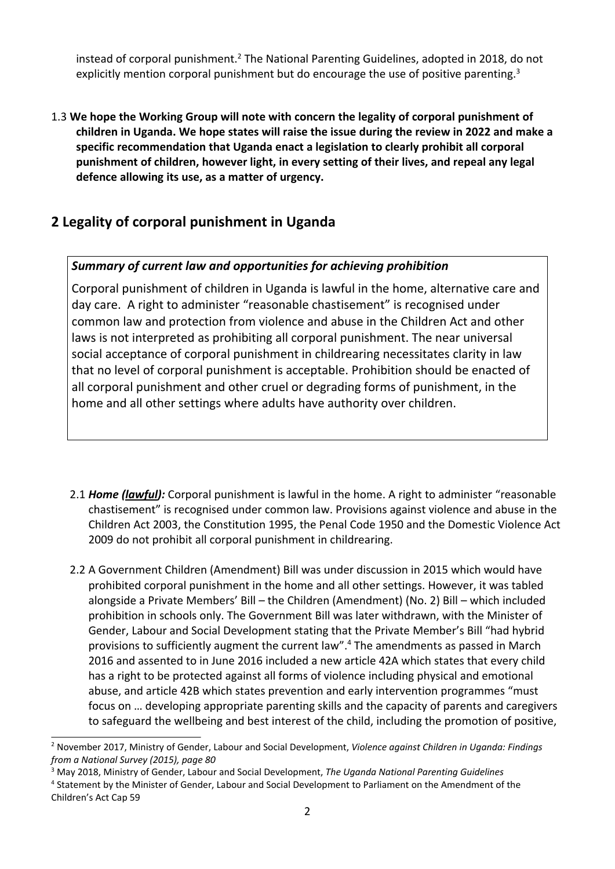instead of corporal punishment.<sup>2</sup> The National Parenting Guidelines, adopted in 2018, do not explicitly mention corporal punishment but do encourage the use of positive parenting.<sup>3</sup>

1.3 **We hope the Working Group will note with concern the legality of corporal punishment of children in Uganda. We hope states will raise the issue during the review in 2022 and make <sup>a</sup> specific recommendation that Uganda enact <sup>a</sup> legislation to clearly prohibit all corporal punishment of children, however light, in every setting of their lives, and repeal any legal defence allowing its use, as <sup>a</sup> matter of urgency.**

## **2 Legality of corporal punishment in Uganda**

### *Summary of current law and opportunities for achieving prohibition*

Corporal punishment of children in Uganda is lawful in the home, alternative care and day care. A right to administer "reasonable chastisement" is recognised under common law and protection from violence and abuse in the Children Act and other laws is not interpreted as prohibiting all corporal punishment. The near universal social acceptance of corporal punishment in childrearing necessitates clarity in law that no level of corporal punishment is acceptable. Prohibition should be enacted of all corporal punishment and other cruel or degrading forms of punishment, in the home and all other settings where adults have authority over children.

- 2.1 *Home (lawful):* Corporal punishment is lawful in the home. A right to administer "reasonable chastisement" is recognised under common law. Provisions against violence and abuse in the Children Act 2003, the Constitution 1995, the Penal Code 1950 and the Domestic Violence Act 2009 do not prohibit all corporal punishment in childrearing.
- 2.2 A Government Children (Amendment) Bill was under discussion in 2015 which would have prohibited corporal punishment in the home and all other settings. However, it was tabled alongside <sup>a</sup> Private Members' Bill – the Children (Amendment) (No. 2) Bill – which included prohibition in schools only. The Government Bill was later withdrawn, with the Minister of Gender, Labour and Social Development stating that the Private Member'<sup>s</sup> Bill "had hybrid provisions to sufficiently augment the current law". 4 The amendments as passed in March 2016 and assented to in June 2016 included <sup>a</sup> new article 42A which states that every child has <sup>a</sup> right to be protected against all forms of violence including physical and emotional abuse, and article 42B which states prevention and early intervention programmes "must focus on … developing appropriate parenting skills and the capacity of parents and caregivers to safeguard the wellbeing and best interest of the child, including the promotion of positive,

<sup>2</sup> November 2017, Ministry of Gender, Labour and Social Development, *Violence against Children in Uganda: Findings from <sup>a</sup> National Survey (2015), page 80*

<sup>3</sup> May 2018, Ministry of Gender, Labour and Social Development, *The Uganda National Parenting Guidelines*

<sup>4</sup> Statement by the Minister of Gender, Labour and Social Development to Parliament on the Amendment of the Children'<sup>s</sup> Act Cap 59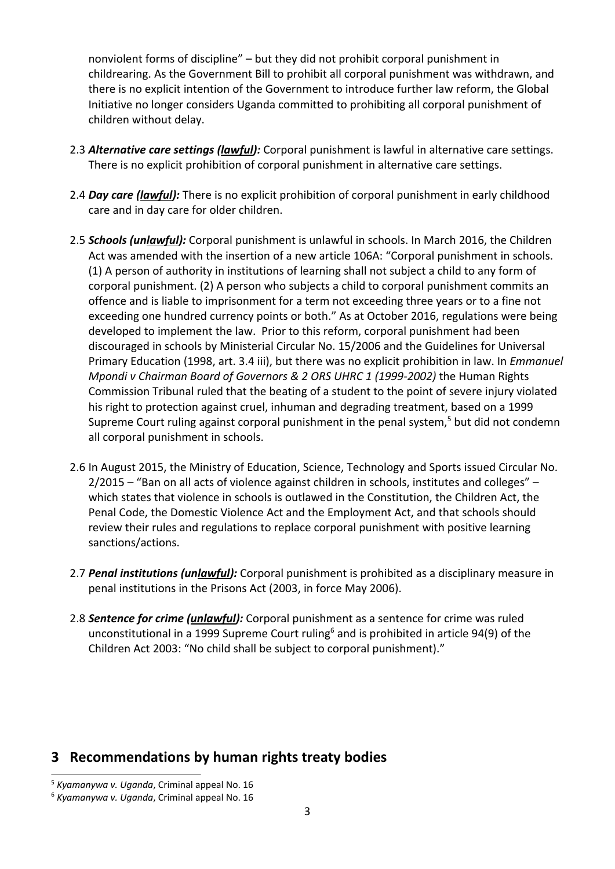nonviolent forms of discipline" – but they did not prohibit corporal punishment in childrearing. As the Government Bill to prohibit all corporal punishment was withdrawn, and there is no explicit intention of the Government to introduce further law reform, the Global Initiative no longer considers Uganda committed to prohibiting all corporal punishment of children without delay.

- 2.3 *Alternative care settings (lawful):* Corporal punishment is lawful in alternative care settings. There is no explicit prohibition of corporal punishment in alternative care settings.
- 2.4 *Day care (lawful):* There is no explicit prohibition of corporal punishment in early childhood care and in day care for older children.
- 2.5 *Schools (unlawful):* Corporal punishment is unlawful in schools. In March 2016, the Children Act was amended with the insertion of <sup>a</sup> new article 106A: "Corporal punishment in schools. (1) A person of authority in institutions of learning shall not subject <sup>a</sup> child to any form of corporal punishment. (2) A person who subjects <sup>a</sup> child to corporal punishment commits an offence and is liable to imprisonment for <sup>a</sup> term not exceeding three years or to <sup>a</sup> fine not exceeding one hundred currency points or both." As at October 2016, regulations were being developed to implement the law. Prior to this reform, corporal punishment had been discouraged in schools by Ministerial Circular No. 15/2006 and the Guidelines for Universal Primary Education (1998, art. 3.4 iii), but there was no explicit prohibition in law. In *Emmanuel Mpondi <sup>v</sup> Chairman Board of Governors & 2 ORS UHRC 1 (1999-2002)* the Human Rights Commission Tribunal ruled that the beating of <sup>a</sup> student to the point of severe injury violated his right to protection against cruel, inhuman and degrading treatment, based on <sup>a</sup> 1999 Supreme Court ruling against corporal punishment in the penal system,<sup>5</sup> but did not condemn all corporal punishment in schools.
- 2.6 In August 2015, the Ministry of Education, Science, Technology and Sports issued Circular No. 2/2015 – "Ban on all acts of violence against children in schools, institutes and colleges" – which states that violence in schools is outlawed in the Constitution, the Children Act, the Penal Code, the Domestic Violence Act and the Employment Act, and that schools should review their rules and regulations to replace corporal punishment with positive learning sanctions/actions.
- 2.7 *Penal institutions (unlawful):* Corporal punishment is prohibited as <sup>a</sup> disciplinary measure in penal institutions in the Prisons Act (2003, in force May 2006).
- 2.8 *Sentence for crime (unlawful):* Corporal punishment as <sup>a</sup> sentence for crime was ruled unconstitutional in a 1999 Supreme Court ruling $^6$  and is prohibited in article 94(9) of the Children Act 2003: "No child shall be subject to corporal punishment)."

### **3 Recommendations by human rights treaty bodies**

<sup>5</sup> *Kyamanywa v. Uganda*, Criminal appeal No. 16

<sup>6</sup> *Kyamanywa v. Uganda*, Criminal appeal No. 16